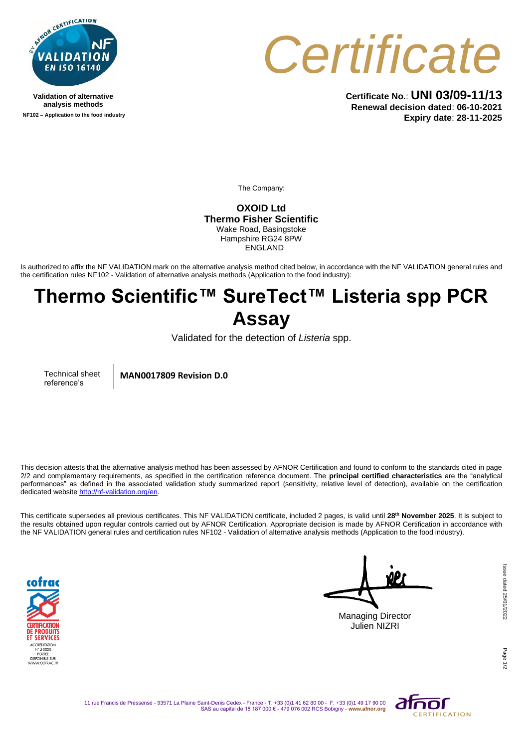

**Validation of alternative analysis methods NF102 – Application to the food industry**



**Certificate No.**: **UNI 03/09-11/13 Renewal decision dated**: **06-10-2021 Expiry date**: **28-11-2025**

The Company:

**OXOID Ltd Thermo Fisher Scientific** Wake Road, Basingstoke Hampshire RG24 8PW ENGLAND

Is authorized to affix the NF VALIDATION mark on the alternative analysis method cited below, in accordance with the NF VALIDATION general rules and the certification rules NF102 - Validation of alternative analysis methods (Application to the food industry):

## **Thermo Scientific™ SureTect™ Listeria spp PCR Assay**

Validated for the detection of *Listeria* spp.

Technical sheet reference's

**MAN0017809 Revision D.0**

This decision attests that the alternative analysis method has been assessed by AFNOR Certification and found to conform to the standards cited in page 2/2 and complementary requirements, as specified in the certification reference document. The **principal certified characteristics** are the "analytical performances" as defined in the associated validation study summarized report (sensitivity, relative level of detection), available on the certification dedicated websit[e http://nf-validation.org/en.](http://nf-validation.org/en)

This certificate supersedes all previous certificates. This NF VALIDATION certificate, included 2 pages, is valid until **28th November 2025**. It is subject to the results obtained upon regular controls carried out by AFNOR Certification. Appropriate decision is made by AFNOR Certification in accordance with the NF VALIDATION general rules and certification rules NF102 - Validation of alternative analysis methods (Application to the food industry).



Managing Director

Julien NIZRI